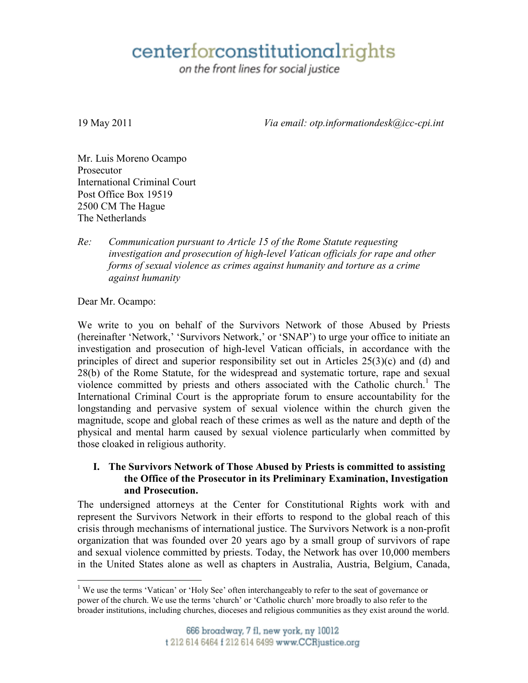# centerforconstitutionalrights

on the front lines for social justice

19 May 2011 *Via email: otp.informationdesk@icc-cpi.int*

Mr. Luis Moreno Ocampo Prosecutor International Criminal Court Post Office Box 19519 2500 CM The Hague The Netherlands

## *Re: Communication pursuant to Article 15 of the Rome Statute requesting investigation and prosecution of high-level Vatican officials for rape and other forms of sexual violence as crimes against humanity and torture as a crime against humanity*

Dear Mr. Ocampo:

We write to you on behalf of the Survivors Network of those Abused by Priests (hereinafter 'Network,' 'Survivors Network,' or 'SNAP') to urge your office to initiate an investigation and prosecution of high-level Vatican officials, in accordance with the principles of direct and superior responsibility set out in Articles 25(3)(c) and (d) and 28(b) of the Rome Statute, for the widespread and systematic torture, rape and sexual violence committed by priests and others associated with the Catholic church.<sup>1</sup> The International Criminal Court is the appropriate forum to ensure accountability for the longstanding and pervasive system of sexual violence within the church given the magnitude, scope and global reach of these crimes as well as the nature and depth of the physical and mental harm caused by sexual violence particularly when committed by those cloaked in religious authority.

#### **I. The Survivors Network of Those Abused by Priests is committed to assisting the Office of the Prosecutor in its Preliminary Examination, Investigation and Prosecution.**

The undersigned attorneys at the Center for Constitutional Rights work with and represent the Survivors Network in their efforts to respond to the global reach of this crisis through mechanisms of international justice. The Survivors Network is a non-profit organization that was founded over 20 years ago by a small group of survivors of rape and sexual violence committed by priests. Today, the Network has over 10,000 members in the United States alone as well as chapters in Australia, Austria, Belgium, Canada,

 $\overline{a}$ <sup>1</sup> We use the terms 'Vatican' or 'Holy See' often interchangeably to refer to the seat of governance or power of the church. We use the terms 'church' or 'Catholic church' more broadly to also refer to the broader institutions, including churches, dioceses and religious communities as they exist around the world.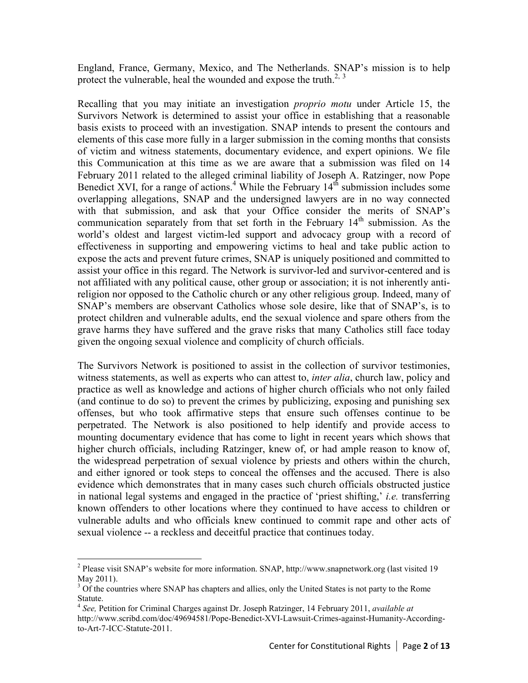England, France, Germany, Mexico, and The Netherlands. SNAP's mission is to help protect the vulnerable, heal the wounded and expose the truth.<sup>2, 3</sup>

Recalling that you may initiate an investigation *proprio motu* under Article 15, the Survivors Network is determined to assist your office in establishing that a reasonable basis exists to proceed with an investigation. SNAP intends to present the contours and elements of this case more fully in a larger submission in the coming months that consists of victim and witness statements, documentary evidence, and expert opinions. We file this Communication at this time as we are aware that a submission was filed on 14 February 2011 related to the alleged criminal liability of Joseph A. Ratzinger, now Pope Benedict XVI, for a range of actions.<sup>4</sup> While the February  $14<sup>th</sup>$  submission includes some overlapping allegations, SNAP and the undersigned lawyers are in no way connected with that submission, and ask that your Office consider the merits of SNAP's communication separately from that set forth in the February  $14<sup>th</sup>$  submission. As the world's oldest and largest victim-led support and advocacy group with a record of effectiveness in supporting and empowering victims to heal and take public action to expose the acts and prevent future crimes, SNAP is uniquely positioned and committed to assist your office in this regard. The Network is survivor-led and survivor-centered and is not affiliated with any political cause, other group or association; it is not inherently antireligion nor opposed to the Catholic church or any other religious group. Indeed, many of SNAP's members are observant Catholics whose sole desire, like that of SNAP's, is to protect children and vulnerable adults, end the sexual violence and spare others from the grave harms they have suffered and the grave risks that many Catholics still face today given the ongoing sexual violence and complicity of church officials.

The Survivors Network is positioned to assist in the collection of survivor testimonies, witness statements, as well as experts who can attest to, *inter alia*, church law, policy and practice as well as knowledge and actions of higher church officials who not only failed (and continue to do so) to prevent the crimes by publicizing, exposing and punishing sex offenses, but who took affirmative steps that ensure such offenses continue to be perpetrated. The Network is also positioned to help identify and provide access to mounting documentary evidence that has come to light in recent years which shows that higher church officials, including Ratzinger, knew of, or had ample reason to know of, the widespread perpetration of sexual violence by priests and others within the church, and either ignored or took steps to conceal the offenses and the accused. There is also evidence which demonstrates that in many cases such church officials obstructed justice in national legal systems and engaged in the practice of 'priest shifting,' *i.e.* transferring known offenders to other locations where they continued to have access to children or vulnerable adults and who officials knew continued to commit rape and other acts of sexual violence -- a reckless and deceitful practice that continues today.

 $\overline{a}$ 

<sup>&</sup>lt;sup>2</sup> Please visit SNAP's website for more information. SNAP, http://www.snapnetwork.org (last visited 19 May 2011).

<sup>&</sup>lt;sup>3</sup> Of the countries where SNAP has chapters and allies, only the United States is not party to the Rome Statute.

<sup>4</sup> *See,* Petition for Criminal Charges against Dr. Joseph Ratzinger, 14 February 2011, *available at* http://www.scribd.com/doc/49694581/Pope-Benedict-XVI-Lawsuit-Crimes-against-Humanity-Accordingto-Art-7-ICC-Statute-2011.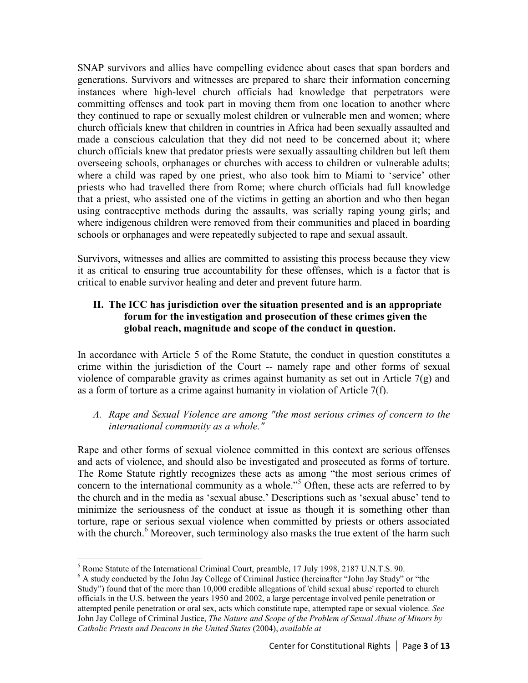SNAP survivors and allies have compelling evidence about cases that span borders and generations. Survivors and witnesses are prepared to share their information concerning instances where high-level church officials had knowledge that perpetrators were committing offenses and took part in moving them from one location to another where they continued to rape or sexually molest children or vulnerable men and women; where church officials knew that children in countries in Africa had been sexually assaulted and made a conscious calculation that they did not need to be concerned about it; where church officials knew that predator priests were sexually assaulting children but left them overseeing schools, orphanages or churches with access to children or vulnerable adults; where a child was raped by one priest, who also took him to Miami to 'service' other priests who had travelled there from Rome; where church officials had full knowledge that a priest, who assisted one of the victims in getting an abortion and who then began using contraceptive methods during the assaults, was serially raping young girls; and where indigenous children were removed from their communities and placed in boarding schools or orphanages and were repeatedly subjected to rape and sexual assault.

Survivors, witnesses and allies are committed to assisting this process because they view it as critical to ensuring true accountability for these offenses, which is a factor that is critical to enable survivor healing and deter and prevent future harm.

# **II. The ICC has jurisdiction over the situation presented and is an appropriate forum for the investigation and prosecution of these crimes given the global reach, magnitude and scope of the conduct in question.**

In accordance with Article 5 of the Rome Statute, the conduct in question constitutes a crime within the jurisdiction of the Court -- namely rape and other forms of sexual violence of comparable gravity as crimes against humanity as set out in Article 7(g) and as a form of torture as a crime against humanity in violation of Article 7(f).

*A. Rape and Sexual Violence are among "the most serious crimes of concern to the international community as a whole."* 

Rape and other forms of sexual violence committed in this context are serious offenses and acts of violence, and should also be investigated and prosecuted as forms of torture. The Rome Statute rightly recognizes these acts as among "the most serious crimes of concern to the international community as a whole."<sup>5</sup> Often, these acts are referred to by the church and in the media as 'sexual abuse.' Descriptions such as 'sexual abuse' tend to minimize the seriousness of the conduct at issue as though it is something other than torture, rape or serious sexual violence when committed by priests or others associated with the church.<sup>6</sup> Moreover, such terminology also masks the true extent of the harm such

 $\overline{a}$ <sup>5</sup> Rome Statute of the International Criminal Court, preamble, 17 July 1998, 2187 U.N.T.S. 90.

<sup>&</sup>lt;sup>6</sup> A study conducted by the John Jay College of Criminal Justice (hereinafter "John Jay Study" or "the Study") found that of the more than 10,000 credible allegations of 'child sexual abuse' reported to church officials in the U.S. between the years 1950 and 2002, a large percentage involved penile penetration or attempted penile penetration or oral sex, acts which constitute rape, attempted rape or sexual violence. *See* John Jay College of Criminal Justice, *The Nature and Scope of the Problem of Sexual Abuse of Minors by Catholic Priests and Deacons in the United States* (2004), *available at*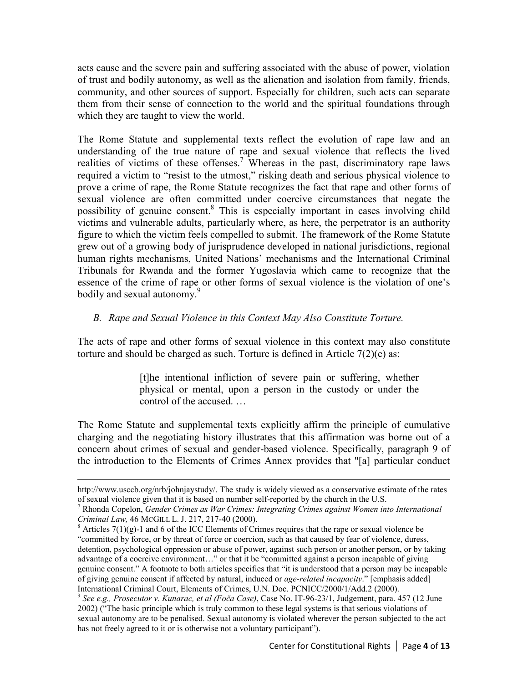acts cause and the severe pain and suffering associated with the abuse of power, violation of trust and bodily autonomy, as well as the alienation and isolation from family, friends, community, and other sources of support. Especially for children, such acts can separate them from their sense of connection to the world and the spiritual foundations through which they are taught to view the world.

The Rome Statute and supplemental texts reflect the evolution of rape law and an understanding of the true nature of rape and sexual violence that reflects the lived realities of victims of these offenses.<sup>7</sup> Whereas in the past, discriminatory rape laws required a victim to "resist to the utmost," risking death and serious physical violence to prove a crime of rape, the Rome Statute recognizes the fact that rape and other forms of sexual violence are often committed under coercive circumstances that negate the possibility of genuine consent.<sup>8</sup> This is especially important in cases involving child victims and vulnerable adults, particularly where, as here, the perpetrator is an authority figure to which the victim feels compelled to submit. The framework of the Rome Statute grew out of a growing body of jurisprudence developed in national jurisdictions, regional human rights mechanisms, United Nations' mechanisms and the International Criminal Tribunals for Rwanda and the former Yugoslavia which came to recognize that the essence of the crime of rape or other forms of sexual violence is the violation of one's bodily and sexual autonomy.<sup>9</sup>

## *B. Rape and Sexual Violence in this Context May Also Constitute Torture.*

The acts of rape and other forms of sexual violence in this context may also constitute torture and should be charged as such. Torture is defined in Article 7(2)(e) as:

> [t]he intentional infliction of severe pain or suffering, whether physical or mental, upon a person in the custody or under the control of the accused. …

The Rome Statute and supplemental texts explicitly affirm the principle of cumulative charging and the negotiating history illustrates that this affirmation was borne out of a concern about crimes of sexual and gender-based violence. Specifically, paragraph 9 of the introduction to the Elements of Crimes Annex provides that "[a] particular conduct

-

http://www.usccb.org/nrb/johnjaystudy/. The study is widely viewed as a conservative estimate of the rates of sexual violence given that it is based on number self-reported by the church in the U.S.

<sup>7</sup> Rhonda Copelon, *Gender Crimes as War Crimes: Integrating Crimes against Women into International Criminal Law,* 46 MCGILL L. J. 217, 217-40 (2000).

 $8$  Articles 7(1)(g)-1 and 6 of the ICC Elements of Crimes requires that the rape or sexual violence be "committed by force, or by threat of force or coercion, such as that caused by fear of violence, duress, detention, psychological oppression or abuse of power, against such person or another person, or by taking advantage of a coercive environment…" or that it be "committed against a person incapable of giving genuine consent." A footnote to both articles specifies that "it is understood that a person may be incapable of giving genuine consent if affected by natural, induced or *age-related incapacity*." [emphasis added] International Criminal Court, Elements of Crimes, U.N. Doc. PCNICC/2000/1/Add.2 (2000).

<sup>9</sup> *See e.g., Prosecutor v. Kunarac, et al (Foča Case)*, Case No. IT-96-23/1, Judgement, para. 457 (12 June 2002) ("The basic principle which is truly common to these legal systems is that serious violations of sexual autonomy are to be penalised. Sexual autonomy is violated wherever the person subjected to the act has not freely agreed to it or is otherwise not a voluntary participant").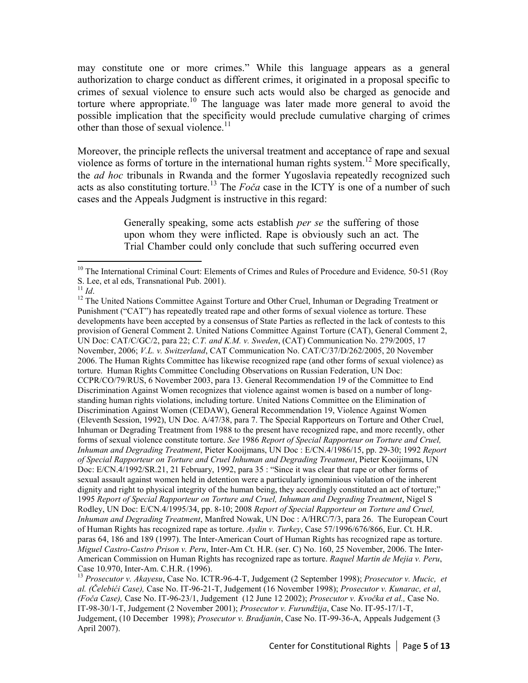may constitute one or more crimes." While this language appears as a general authorization to charge conduct as different crimes, it originated in a proposal specific to crimes of sexual violence to ensure such acts would also be charged as genocide and torture where appropriate.<sup>10</sup> The language was later made more general to avoid the possible implication that the specificity would preclude cumulative charging of crimes other than those of sexual violence.<sup>11</sup>

Moreover, the principle reflects the universal treatment and acceptance of rape and sexual violence as forms of torture in the international human rights system.<sup>12</sup> More specifically, the *ad hoc* tribunals in Rwanda and the former Yugoslavia repeatedly recognized such acts as also constituting torture.<sup>13</sup> The *Foča* case in the ICTY is one of a number of such cases and the Appeals Judgment is instructive in this regard:

> Generally speaking, some acts establish *per se* the suffering of those upon whom they were inflicted. Rape is obviously such an act. The Trial Chamber could only conclude that such suffering occurred even

<sup>-</sup><sup>10</sup> The International Criminal Court: Elements of Crimes and Rules of Procedure and Evidence*,* 50-51 (Roy S. Lee, et al eds, Transnational Pub. 2001).

 $11$  *Id.* 

<sup>&</sup>lt;sup>12</sup> The United Nations Committee Against Torture and Other Cruel, Inhuman or Degrading Treatment or Punishment ("CAT") has repeatedly treated rape and other forms of sexual violence as torture. These developments have been accepted by a consensus of State Parties as reflected in the lack of contests to this provision of General Comment 2. United Nations Committee Against Torture (CAT), General Comment 2, UN Doc: CAT/C/GC/2, para 22; *C.T. and K.M. v. Sweden*, (CAT) Communication No. 279/2005, 17 November, 2006; *V.L. v. Switzerland*, CAT Communication No. CAT/C/37/D/262/2005, 20 November 2006. The Human Rights Committee has likewise recognized rape (and other forms of sexual violence) as torture. Human Rights Committee Concluding Observations on Russian Federation, UN Doc: CCPR/CO/79/RUS, 6 November 2003, para 13. General Recommendation 19 of the Committee to End Discrimination Against Women recognizes that violence against women is based on a number of longstanding human rights violations, including torture. United Nations Committee on the Elimination of Discrimination Against Women (CEDAW), General Recommendation 19, Violence Against Women (Eleventh Session, 1992), UN Doc. A/47/38, para 7. The Special Rapporteurs on Torture and Other Cruel, Inhuman or Degrading Treatment from 1988 to the present have recognized rape, and more recently, other forms of sexual violence constitute torture. *See* 1986 *Report of Special Rapporteur on Torture and Cruel, Inhuman and Degrading Treatment*, Pieter Kooijmans, UN Doc : E/CN.4/1986/15, pp. 29-30; 1992 *Report of Special Rapporteur on Torture and Cruel Inhuman and Degrading Treatment*, Pieter Kooijimans, UN Doc: E/CN.4/1992/SR.21, 21 February, 1992, para 35 : "Since it was clear that rape or other forms of sexual assault against women held in detention were a particularly ignominious violation of the inherent dignity and right to physical integrity of the human being, they accordingly constituted an act of torture;" 1995 *Report of Special Rapporteur on Torture and Cruel, Inhuman and Degrading Treatment*, Nigel S Rodley, UN Doc: E/CN.4/1995/34, pp. 8-10; 2008 *Report of Special Rapporteur on Torture and Cruel, Inhuman and Degrading Treatment*, Manfred Nowak, UN Doc : A/HRC/7/3, para 26. The European Court of Human Rights has recognized rape as torture. *Aydin v. Turkey*, Case 57/1996/676/866, Eur. Ct. H.R. paras 64, 186 and 189 (1997). The Inter-American Court of Human Rights has recognized rape as torture. *Miguel Castro-Castro Prison v. Peru*, Inter-Am Ct. H.R. (ser. C) No. 160, 25 November, 2006. The Inter-American Commission on Human Rights has recognized rape as torture. *Raquel Martin de Mejia v. Peru*, Case 10.970, Inter-Am. C.H.R. (1996).

<sup>13</sup> *Prosecutor v. Akayesu*, Case No. ICTR-96-4-T, Judgement (2 September 1998); *Prosecutor v. Mucic, et al. (Čelebići Case),* Case No. IT-96-21-T, Judgement (16 November 1998); *Prosecutor v. Kunarac, et al*, *(Foča Case),* Case No. IT-96-23/1, Judgement (12 June 12 2002); *Prosecutor v. Kvočka et al.,* Case No. IT-98-30/1-T, Judgement (2 November 2001); *Prosecutor v. Furundžija*, Case No. IT-95-17/1-T, Judgement, (10 December 1998); *Prosecutor v. Bradjanin*, Case No. IT-99-36-A, Appeals Judgement (3 April 2007).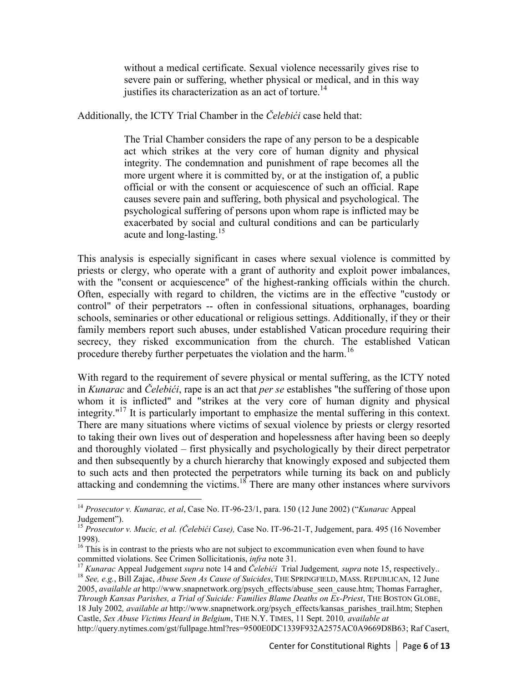without a medical certificate. Sexual violence necessarily gives rise to severe pain or suffering, whether physical or medical, and in this way justifies its characterization as an act of torture.<sup>14</sup>

Additionally, the ICTY Trial Chamber in the *Čelebići* case held that:

The Trial Chamber considers the rape of any person to be a despicable act which strikes at the very core of human dignity and physical integrity. The condemnation and punishment of rape becomes all the more urgent where it is committed by, or at the instigation of, a public official or with the consent or acquiescence of such an official. Rape causes severe pain and suffering, both physical and psychological. The psychological suffering of persons upon whom rape is inflicted may be exacerbated by social and cultural conditions and can be particularly acute and long-lasting.<sup>15</sup>

This analysis is especially significant in cases where sexual violence is committed by priests or clergy, who operate with a grant of authority and exploit power imbalances, with the "consent or acquiescence" of the highest-ranking officials within the church. Often, especially with regard to children, the victims are in the effective "custody or control" of their perpetrators -- often in confessional situations, orphanages, boarding schools, seminaries or other educational or religious settings. Additionally, if they or their family members report such abuses, under established Vatican procedure requiring their secrecy, they risked excommunication from the church. The established Vatican procedure thereby further perpetuates the violation and the harm.<sup>16</sup>

With regard to the requirement of severe physical or mental suffering, as the ICTY noted in *Kunarac* and *Čelebići*, rape is an act that *per se* establishes "the suffering of those upon whom it is inflicted" and "strikes at the very core of human dignity and physical integrity. $17$ <sup>17</sup> It is particularly important to emphasize the mental suffering in this context. There are many situations where victims of sexual violence by priests or clergy resorted to taking their own lives out of desperation and hopelessness after having been so deeply and thoroughly violated – first physically and psychologically by their direct perpetrator and then subsequently by a church hierarchy that knowingly exposed and subjected them to such acts and then protected the perpetrators while turning its back on and publicly attacking and condemning the victims.<sup>18</sup> There are many other instances where survivors

-

http://query.nytimes.com/gst/fullpage.html?res=9500E0DC1339F932A2575AC0A9669D8B63; Raf Casert,

<sup>14</sup> *Prosecutor v. Kunarac, et al*, Case No. IT-96-23/1, para. 150 (12 June 2002) ("*Kunarac* Appeal Judgement").

<sup>15</sup> *Prosecutor v. Mucic, et al. (Čelebići Case),* Case No. IT-96-21-T, Judgement, para. 495 (16 November 1998).

 $16$  This is in contrast to the priests who are not subject to excommunication even when found to have committed violations. See Crimen Sollicitationis, *infra* note 31.

<sup>17</sup> *Kunarac* Appeal Judgement *supra* note 14 and *Čelebići* Trial Judgement*, supra* note 15, respectively.. <sup>18</sup> *See, e.g.*, Bill Zajac, *Abuse Seen As Cause of Suicides*, THE SPRINGFIELD, MASS. REPUBLICAN, 12 June 2005, *available at* http://www.snapnetwork.org/psych\_effects/abuse\_seen\_cause.htm; Thomas Farragher, *Through Kansas Parishes, a Trial of Suicide: Families Blame Deaths on Ex-Priest*, THE BOSTON GLOBE, 18 July 2002*, available at* http://www.snapnetwork.org/psych\_effects/kansas\_parishes\_trail.htm; Stephen Castle, *Sex Abuse Victims Heard in Belgium*, THE N.Y. TIMES, 11 Sept. 2010*, available at*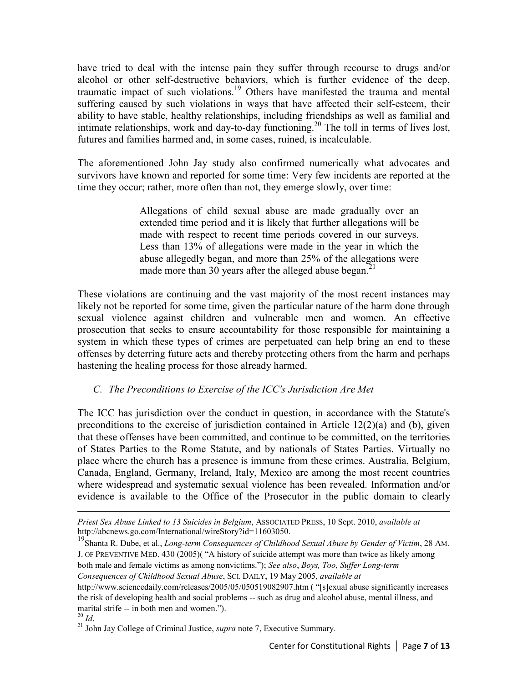have tried to deal with the intense pain they suffer through recourse to drugs and/or alcohol or other self-destructive behaviors, which is further evidence of the deep, traumatic impact of such violations.<sup>19</sup> Others have manifested the trauma and mental suffering caused by such violations in ways that have affected their self-esteem, their ability to have stable, healthy relationships, including friendships as well as familial and intimate relationships, work and day-to-day functioning.<sup>20</sup> The toll in terms of lives lost, futures and families harmed and, in some cases, ruined, is incalculable.

The aforementioned John Jay study also confirmed numerically what advocates and survivors have known and reported for some time: Very few incidents are reported at the time they occur; rather, more often than not, they emerge slowly, over time:

> Allegations of child sexual abuse are made gradually over an extended time period and it is likely that further allegations will be made with respect to recent time periods covered in our surveys. Less than 13% of allegations were made in the year in which the abuse allegedly began, and more than 25% of the allegations were made more than 30 years after the alleged abuse began.<sup>21</sup>

These violations are continuing and the vast majority of the most recent instances may likely not be reported for some time, given the particular nature of the harm done through sexual violence against children and vulnerable men and women. An effective prosecution that seeks to ensure accountability for those responsible for maintaining a system in which these types of crimes are perpetuated can help bring an end to these offenses by deterring future acts and thereby protecting others from the harm and perhaps hastening the healing process for those already harmed.

## *C. The Preconditions to Exercise of the ICC's Jurisdiction Are Met*

 The ICC has jurisdiction over the conduct in question, in accordance with the Statute's preconditions to the exercise of jurisdiction contained in Article  $12(2)(a)$  and (b), given that these offenses have been committed, and continue to be committed, on the territories of States Parties to the Rome Statute, and by nationals of States Parties. Virtually no place where the church has a presence is immune from these crimes. Australia, Belgium, Canada, England, Germany, Ireland, Italy, Mexico are among the most recent countries where widespread and systematic sexual violence has been revealed. Information and/or evidence is available to the Office of the Prosecutor in the public domain to clearly

<u>.</u>

*Priest Sex Abuse Linked to 13 Suicides in Belgium*, ASSOCIATED PRESS, 10 Sept. 2010, *available at* http://abcnews.go.com/International/wireStory?id=11603050.

<sup>19</sup>Shanta R. Dube, et al., *Long-term Consequences of Childhood Sexual Abuse by Gender of Victim*, 28 AM. J. OF PREVENTIVE MED. 430 (2005)( "A history of suicide attempt was more than twice as likely among both male and female victims as among nonvictims."); *See also*, *Boys, Too, Suffer Long-term Consequences of Childhood Sexual Abuse*, SCI. DAILY, 19 May 2005, *available at*

http://www.sciencedaily.com/releases/2005/05/050519082907.htm ( "[s]exual abuse significantly increases the risk of developing health and social problems -- such as drug and alcohol abuse, mental illness, and marital strife -- in both men and women.").

 $^{20}$  *Id*.

<sup>21</sup> John Jay College of Criminal Justice, *supra* note 7, Executive Summary.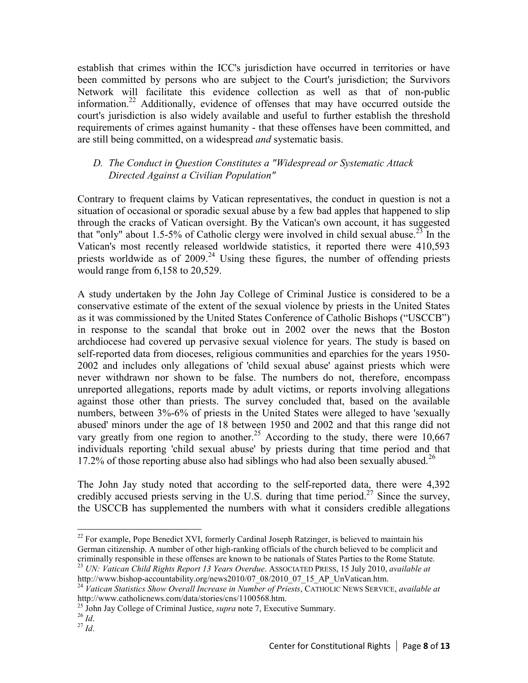establish that crimes within the ICC's jurisdiction have occurred in territories or have been committed by persons who are subject to the Court's jurisdiction; the Survivors Network will facilitate this evidence collection as well as that of non-public information.<sup>22</sup> Additionally, evidence of offenses that may have occurred outside the court's jurisdiction is also widely available and useful to further establish the threshold requirements of crimes against humanity - that these offenses have been committed, and are still being committed, on a widespread *and* systematic basis.

#### *D. The Conduct in Question Constitutes a "Widespread or Systematic Attack Directed Against a Civilian Population"*

Contrary to frequent claims by Vatican representatives, the conduct in question is not a situation of occasional or sporadic sexual abuse by a few bad apples that happened to slip through the cracks of Vatican oversight. By the Vatican's own account, it has suggested that "only" about 1.5-5% of Catholic clergy were involved in child sexual abuse.<sup>23</sup> In the Vatican's most recently released worldwide statistics, it reported there were 410,593 priests worldwide as of  $2009<sup>24</sup>$  Using these figures, the number of offending priests would range from 6,158 to 20,529.

A study undertaken by the John Jay College of Criminal Justice is considered to be a conservative estimate of the extent of the sexual violence by priests in the United States as it was commissioned by the United States Conference of Catholic Bishops ("USCCB") in response to the scandal that broke out in 2002 over the news that the Boston archdiocese had covered up pervasive sexual violence for years. The study is based on self-reported data from dioceses, religious communities and eparchies for the years 1950- 2002 and includes only allegations of 'child sexual abuse' against priests which were never withdrawn nor shown to be false. The numbers do not, therefore, encompass unreported allegations, reports made by adult victims, or reports involving allegations against those other than priests. The survey concluded that, based on the available numbers, between 3%-6% of priests in the United States were alleged to have 'sexually abused' minors under the age of 18 between 1950 and 2002 and that this range did not vary greatly from one region to another.<sup>25</sup> According to the study, there were 10,667 individuals reporting 'child sexual abuse' by priests during that time period and that 17.2% of those reporting abuse also had siblings who had also been sexually abused.<sup>26</sup>

The John Jay study noted that according to the self-reported data, there were 4,392 credibly accused priests serving in the U.S. during that time period.<sup>27</sup> Since the survey, the USCCB has supplemented the numbers with what it considers credible allegations

<sup>-</sup> $22$  For example, Pope Benedict XVI, formerly Cardinal Joseph Ratzinger, is believed to maintain his German citizenship. A number of other high-ranking officials of the church believed to be complicit and criminally responsible in these offenses are known to be nationals of States Parties to the Rome Statute. <sup>23</sup> *UN: Vatican Child Rights Report 13 Years Overdue*. ASSOCIATED PRESS, 15 July 2010, *available at*

http://www.bishop-accountability.org/news2010/07\_08/2010\_07\_15\_AP\_UnVatican.htm.

<sup>24</sup> *Vatican Statistics Show Overall Increase in Number of Priests*, CATHOLIC NEWS SERVICE, *available at* http://www.catholicnews.com/data/stories/cns/1100568.htm.

<sup>&</sup>lt;sup>25</sup> John Jay College of Criminal Justice, *supra* note 7, Executive Summary.

 $^{26}$  *Id*.

<sup>27</sup> *Id*.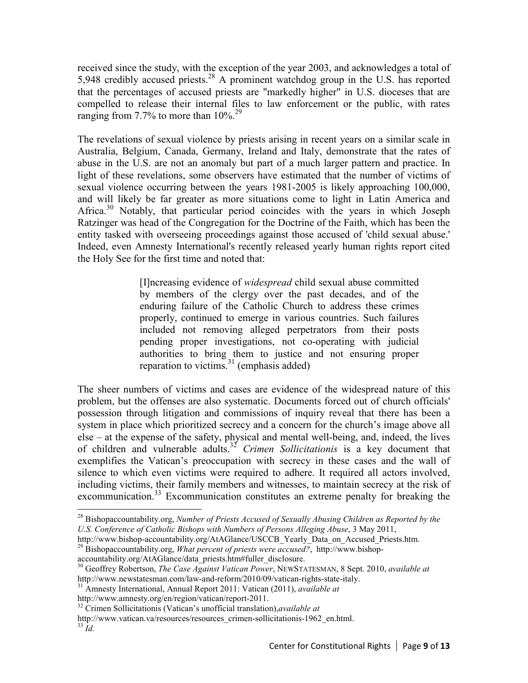received since the study, with the exception of the year 2003, and acknowledges a total of 5,948 credibly accused priests.<sup>28</sup> A prominent watchdog group in the U.S. has reported that the percentages of accused priests are "markedly higher" in U.S. dioceses that are compelled to release their internal files to law enforcement or the public, with rates ranging from 7.7% to more than  $10\%$ .<sup>29</sup>

The revelations of sexual violence by priests arising in recent years on a similar scale in Australia, Belgium, Canada, Germany, Ireland and Italy, demonstrate that the rates of abuse in the U.S. are not an anomaly but part of a much larger pattern and practice. In light of these revelations, some observers have estimated that the number of victims of sexual violence occurring between the years 1981-2005 is likely approaching 100,000, and will likely be far greater as more situations come to light in Latin America and Africa.<sup>30</sup> Notably, that particular period coincides with the years in which Joseph Ratzinger was head of the Congregation for the Doctrine of the Faith, which has been the entity tasked with overseeing proceedings against those accused of 'child sexual abuse.' Indeed, even Amnesty International's recently released yearly human rights report cited the Holy See for the first time and noted that:

> [I]ncreasing evidence of *widespread* child sexual abuse committed by members of the clergy over the past decades, and of the enduring failure of the Catholic Church to address these crimes properly, continued to emerge in various countries. Such failures included not removing alleged perpetrators from their posts pending proper investigations, not co-operating with judicial authorities to bring them to justice and not ensuring proper reparation to victims. $31$  (emphasis added)

The sheer numbers of victims and cases are evidence of the widespread nature of this problem, but the offenses are also systematic. Documents forced out of church officials' possession through litigation and commissions of inquiry reveal that there has been a system in place which prioritized secrecy and a concern for the church's image above all else – at the expense of the safety, physical and mental well-being, and, indeed, the lives of children and vulnerable adults.<sup>32</sup> *Crimen Sollicitationis* is a key document that exemplifies the Vatican's preoccupation with secrecy in these cases and the wall of silence to which even victims were required to adhere. It required all actors involved, including victims, their family members and witnesses, to maintain secrecy at the risk of excommunication.<sup>33</sup> Excommunication constitutes an extreme penalty for breaking the

http://www.amnesty.org/en/region/vatican/report-2011.

-

<sup>28</sup> Bishopaccountability.org, *Number of Priests Accused of Sexually Abusing Children as Reported by the U.S. Conference of Catholic Bishops with Numbers of Persons Alleging Abuse*, 3 May 2011,

http://www.bishop-accountability.org/AtAGlance/USCCB\_Yearly\_Data\_on\_Accused\_Priests.htm. <sup>29</sup> Bishopaccountability.org, *What percent of priests were accused?*, http://www.bishop-

accountability.org/AtAGlance/data\_priests.htm#fuller\_disclosure.

<sup>30</sup> Geoffrey Robertson, *The Case Against Vatican Power*, NEWSTATESMAN, 8 Sept. 2010, *available at* http://www.newstatesman.com/law-and-reform/2010/09/vatican-rights-state-italy.

<sup>31</sup> Amnesty International, Annual Report 2011: Vatican (2011), *available at*

<sup>32</sup> Crimen Sollicitationis (Vatican's unofficial translation),*available at*

http://www.vatican.va/resources/resources\_crimen-sollicitationis-1962\_en.html.

 $33 \dot{I}$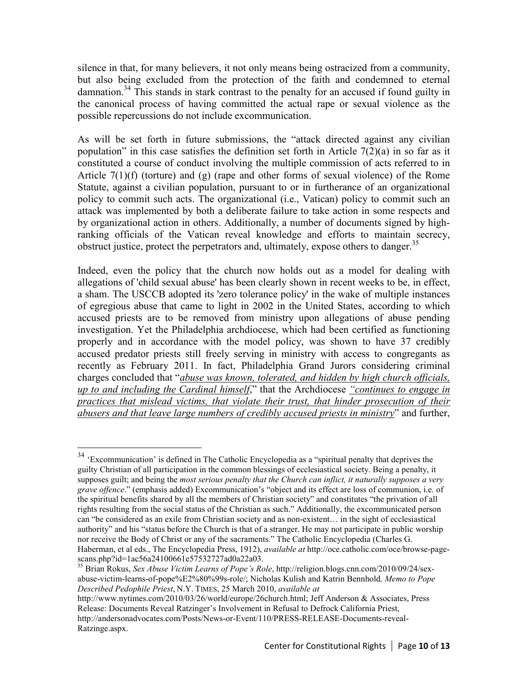silence in that, for many believers, it not only means being ostracized from a community, but also being excluded from the protection of the faith and condemned to eternal damnation.<sup>34</sup> This stands in stark contrast to the penalty for an accused if found guilty in the canonical process of having committed the actual rape or sexual violence as the possible repercussions do not include excommunication.

As will be set forth in future submissions, the "attack directed against any civilian population" in this case satisfies the definition set forth in Article  $7(2)(a)$  in so far as it constituted a course of conduct involving the multiple commission of acts referred to in Article  $7(1)(f)$  (torture) and  $(g)$  (rape and other forms of sexual violence) of the Rome Statute, against a civilian population, pursuant to or in furtherance of an organizational policy to commit such acts. The organizational (i.e., Vatican) policy to commit such an attack was implemented by both a deliberate failure to take action in some respects and by organizational action in others. Additionally, a number of documents signed by highranking officials of the Vatican reveal knowledge and efforts to maintain secrecy, obstruct justice, protect the perpetrators and, ultimately, expose others to danger.<sup>35</sup>

Indeed, even the policy that the church now holds out as a model for dealing with allegations of 'child sexual abuse' has been clearly shown in recent weeks to be, in effect, a sham. The USCCB adopted its 'zero tolerance policy' in the wake of multiple instances of egregious abuse that came to light in 2002 in the United States, according to which accused priests are to be removed from ministry upon allegations of abuse pending investigation. Yet the Philadelphia archdiocese, which had been certified as functioning properly and in accordance with the model policy, was shown to have 37 credibly accused predator priests still freely serving in ministry with access to congregants as recently as February 2011. In fact, Philadelphia Grand Jurors considering criminal charges concluded that "*abuse was known, tolerated, and hidden by high church officials, up to and including the Cardinal himself*," that the Archdiocese *"continues to engage in practices that mislead victims, that violate their trust, that hinder prosecution of their abusers and that leave large numbers of credibly accused priests in ministry*" and further,

 $\overline{a}$ 

<sup>&</sup>lt;sup>34</sup> 'Excommunication' is defined in The Catholic Encyclopedia as a "spiritual penalty that deprives the guilty Christian of all participation in the common blessings of ecclesiastical society. Being a penalty, it supposes guilt; and being the *most serious penalty that the Church can inflict, it naturally supposes a very grave offence*." (emphasis added) Excommunication's "object and its effect are loss of communion, i.e. of the spiritual benefits shared by all the members of Christian society" and constitutes "the privation of all rights resulting from the social status of the Christian as such." Additionally, the excommunicated person can "be considered as an exile from Christian society and as non-existent… in the sight of ecclesiastical authority" and his "status before the Church is that of a stranger. He may not participate in public worship nor receive the Body of Christ or any of the sacraments." The Catholic Encyclopedia (Charles G. Haberman, et al eds., The Encyclopedia Press, 1912), *available at* http://oce.catholic.com/oce/browse-pagescans.php?id=1ac56a24100661e57532727ad0a22a03.

<sup>35</sup> Brian Rokus, *Sex Abuse Victim Learns of Pope's Role*, http://religion.blogs.cnn.com/2010/09/24/sexabuse-victim-learns-of-pope%E2%80%99s-role/; Nicholas Kulish and Katrin Bennhold*, Memo to Pope Described Pedophile Priest*, N.Y. TIMES, 25 March 2010, *available at*

http://www.nytimes.com/2010/03/26/world/europe/26church.html; Jeff Anderson & Associates, Press Release: Documents Reveal Ratzinger's Involvement in Refusal to Defrock California Priest, http://andersonadvocates.com/Posts/News-or-Event/110/PRESS-RELEASE-Documents-reveal-Ratzinge.aspx.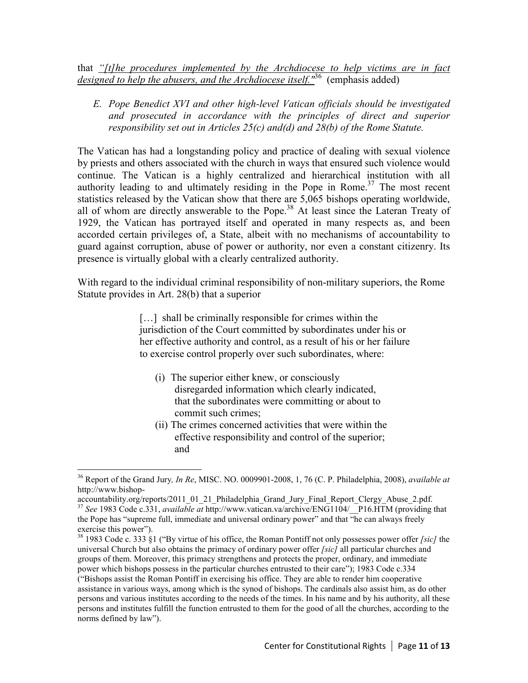that *"[t]he procedures implemented by the Archdiocese to help victims are in fact designed to help the abusers, and the Archdiocese itself."*<sup>36</sup> (emphasis added)

*E. Pope Benedict XVI and other high-level Vatican officials should be investigated and prosecuted in accordance with the principles of direct and superior responsibility set out in Articles 25(c) and(d) and 28(b) of the Rome Statute.* 

The Vatican has had a longstanding policy and practice of dealing with sexual violence by priests and others associated with the church in ways that ensured such violence would continue. The Vatican is a highly centralized and hierarchical institution with all authority leading to and ultimately residing in the Pope in Rome.<sup>37</sup> The most recent statistics released by the Vatican show that there are 5,065 bishops operating worldwide, all of whom are directly answerable to the Pope.<sup>38</sup> At least since the Lateran Treaty of 1929, the Vatican has portrayed itself and operated in many respects as, and been accorded certain privileges of, a State, albeit with no mechanisms of accountability to guard against corruption, abuse of power or authority, nor even a constant citizenry. Its presence is virtually global with a clearly centralized authority.

With regard to the individual criminal responsibility of non-military superiors, the Rome Statute provides in Art. 28(b) that a superior

> [...] shall be criminally responsible for crimes within the jurisdiction of the Court committed by subordinates under his or her effective authority and control, as a result of his or her failure to exercise control properly over such subordinates, where:

- (i) The superior either knew, or consciously disregarded information which clearly indicated, that the subordinates were committing or about to commit such crimes;
- (ii) The crimes concerned activities that were within the effective responsibility and control of the superior; and

 $\overline{a}$ 

<sup>36</sup> Report of the Grand Jury*, In Re*, MISC. NO. 0009901-2008, 1, 76 (C. P. Philadelphia, 2008), *available at* http://www.bishop-

accountability.org/reports/2011\_01\_21\_Philadelphia\_Grand\_Jury\_Final\_Report\_Clergy\_Abuse\_2.pdf. <sup>37</sup> *See* 1983 Code c.331, *available at* http://www.vatican.va/archive/ENG1104/\_\_P16.HTM (providing that the Pope has "supreme full, immediate and universal ordinary power" and that "he can always freely exercise this power").

<sup>38</sup> 1983 Code c. 333 §1 ("By virtue of his office, the Roman Pontiff not only possesses power offer *[sic]* the universal Church but also obtains the primacy of ordinary power offer *[sic]* all particular churches and groups of them. Moreover, this primacy strengthens and protects the proper, ordinary, and immediate power which bishops possess in the particular churches entrusted to their care"); 1983 Code c.334 ("Bishops assist the Roman Pontiff in exercising his office. They are able to render him cooperative assistance in various ways, among which is the synod of bishops. The cardinals also assist him, as do other persons and various institutes according to the needs of the times. In his name and by his authority, all these persons and institutes fulfill the function entrusted to them for the good of all the churches, according to the norms defined by law").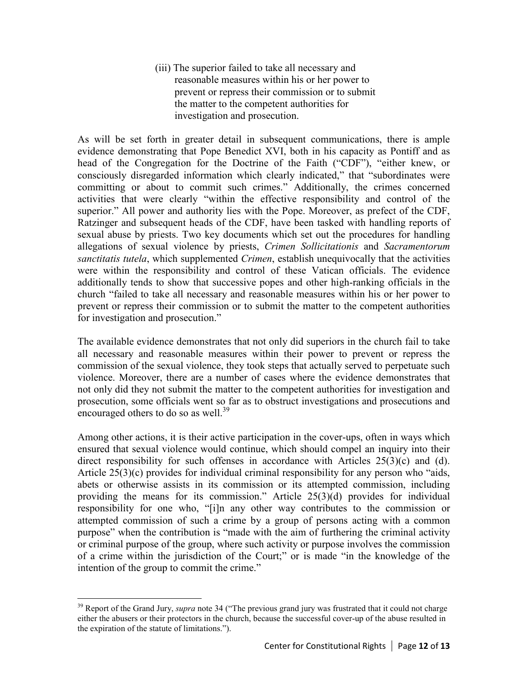(iii) The superior failed to take all necessary and reasonable measures within his or her power to prevent or repress their commission or to submit the matter to the competent authorities for investigation and prosecution.

As will be set forth in greater detail in subsequent communications, there is ample evidence demonstrating that Pope Benedict XVI, both in his capacity as Pontiff and as head of the Congregation for the Doctrine of the Faith ("CDF"), "either knew, or consciously disregarded information which clearly indicated," that "subordinates were committing or about to commit such crimes." Additionally, the crimes concerned activities that were clearly "within the effective responsibility and control of the superior." All power and authority lies with the Pope. Moreover, as prefect of the CDF, Ratzinger and subsequent heads of the CDF, have been tasked with handling reports of sexual abuse by priests. Two key documents which set out the procedures for handling allegations of sexual violence by priests, *Crimen Sollicitationis* and *Sacramentorum sanctitatis tutela*, which supplemented *Crimen*, establish unequivocally that the activities were within the responsibility and control of these Vatican officials. The evidence additionally tends to show that successive popes and other high-ranking officials in the church "failed to take all necessary and reasonable measures within his or her power to prevent or repress their commission or to submit the matter to the competent authorities for investigation and prosecution."

The available evidence demonstrates that not only did superiors in the church fail to take all necessary and reasonable measures within their power to prevent or repress the commission of the sexual violence, they took steps that actually served to perpetuate such violence. Moreover, there are a number of cases where the evidence demonstrates that not only did they not submit the matter to the competent authorities for investigation and prosecution, some officials went so far as to obstruct investigations and prosecutions and encouraged others to do so as well. $^{39}$ 

Among other actions, it is their active participation in the cover-ups, often in ways which ensured that sexual violence would continue, which should compel an inquiry into their direct responsibility for such offenses in accordance with Articles  $25(3)(c)$  and (d). Article  $25(3)(c)$  provides for individual criminal responsibility for any person who "aids, abets or otherwise assists in its commission or its attempted commission, including providing the means for its commission." Article 25(3)(d) provides for individual responsibility for one who, "[i]n any other way contributes to the commission or attempted commission of such a crime by a group of persons acting with a common purpose" when the contribution is "made with the aim of furthering the criminal activity or criminal purpose of the group, where such activity or purpose involves the commission of a crime within the jurisdiction of the Court;" or is made "in the knowledge of the intention of the group to commit the crime."

-

<sup>&</sup>lt;sup>39</sup> Report of the Grand Jury, *supra* note 34 ("The previous grand jury was frustrated that it could not charge either the abusers or their protectors in the church, because the successful cover-up of the abuse resulted in the expiration of the statute of limitations.").